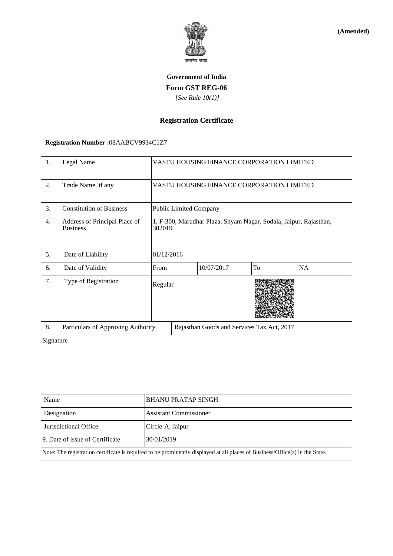

**(Amended)**

# **Government of India Form GST REG-06**  *[See Rule 10(1)]*

## **Registration Certificate**

### **Registration Number :**08AABCV9934C1Z7

| 1.                              | Legal Name                                                                                                                   |                               | VASTU HOUSING FINANCE CORPORATION LIMITED                                   |            |    |    |  |
|---------------------------------|------------------------------------------------------------------------------------------------------------------------------|-------------------------------|-----------------------------------------------------------------------------|------------|----|----|--|
| 2.                              | Trade Name, if any                                                                                                           |                               | VASTU HOUSING FINANCE CORPORATION LIMITED                                   |            |    |    |  |
| 3.                              | <b>Constitution of Business</b>                                                                                              |                               | <b>Public Limited Company</b>                                               |            |    |    |  |
| 4.                              | Address of Principal Place of<br><b>Business</b>                                                                             |                               | 1, F-300, Marudhar Plaza, Shyam Nagar, Sodala, Jaipur, Rajasthan,<br>302019 |            |    |    |  |
| 5.                              | Date of Liability                                                                                                            |                               | 01/12/2016                                                                  |            |    |    |  |
| 6.                              | Date of Validity                                                                                                             | From                          |                                                                             | 10/07/2017 | To | NA |  |
| 7.                              | Type of Registration                                                                                                         | Regular                       |                                                                             |            |    |    |  |
| 8.                              | Particulars of Approving Authority                                                                                           |                               | Rajasthan Goods and Services Tax Act, 2017                                  |            |    |    |  |
| Signature                       |                                                                                                                              |                               |                                                                             |            |    |    |  |
| Name                            |                                                                                                                              | <b>BHANU PRATAP SINGH</b>     |                                                                             |            |    |    |  |
| Designation                     |                                                                                                                              | <b>Assistant Commissioner</b> |                                                                             |            |    |    |  |
| Jurisdictional Office           |                                                                                                                              | Circle-A, Jaipur              |                                                                             |            |    |    |  |
| 9. Date of issue of Certificate |                                                                                                                              | 30/01/2019                    |                                                                             |            |    |    |  |
|                                 | Note: The registration certificate is required to be prominently displayed at all places of Business/Office(s) in the State. |                               |                                                                             |            |    |    |  |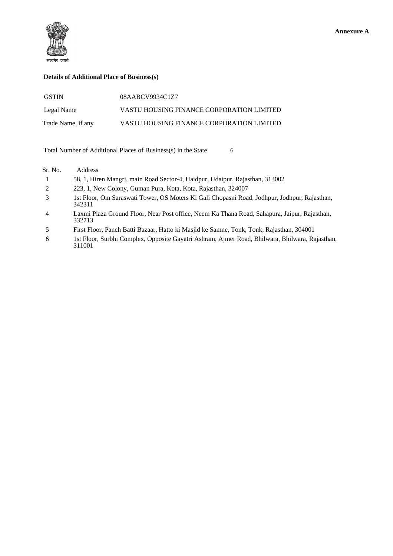

#### **Details of Additional Place of Business(s)**

| <b>GSTIN</b>       | 08AABCV9934C1Z7                           |
|--------------------|-------------------------------------------|
| Legal Name         | VASTU HOUSING FINANCE CORPORATION LIMITED |
| Trade Name, if any | VASTU HOUSING FINANCE CORPORATION LIMITED |

Total Number of Additional Places of Business(s) in the State 6

| Sr. No.        | Address                                                                                                  |
|----------------|----------------------------------------------------------------------------------------------------------|
|                | 58, 1, Hiren Mangri, main Road Sector-4, Uaidpur, Udaipur, Rajasthan, 313002                             |
| 2              | 223, 1, New Colony, Guman Pura, Kota, Kota, Rajasthan, 324007                                            |
| 3              | 1st Floor, Om Saraswati Tower, OS Moters Ki Gali Chopasni Road, Jodhpur, Jodhpur, Rajasthan,<br>342311   |
| $\overline{4}$ | Laxmi Plaza Ground Floor, Near Post office, Neem Ka Thana Road, Sahapura, Jaipur, Rajasthan,<br>332713   |
| 5              | First Floor, Panch Batti Bazaar, Hatto ki Masjid ke Samne, Tonk, Tonk, Rajasthan, 304001                 |
| 6              | 1st Floor, Surbhi Complex, Opposite Gayatri Ashram, Ajmer Road, Bhilwara, Bhilwara, Rajasthan,<br>311001 |